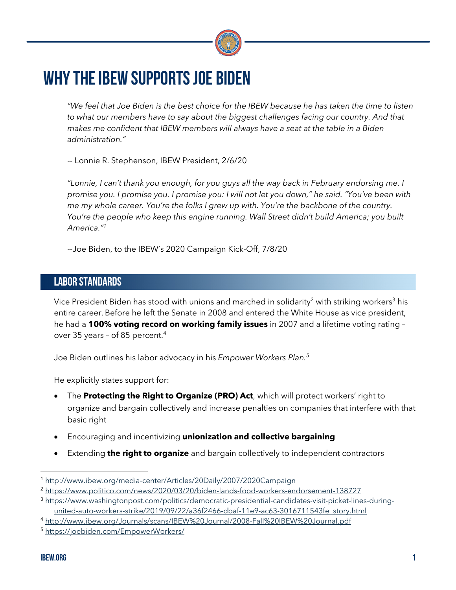

# WHY THE IBEW SUPPORTS JOE BIDEN

*"We feel that Joe Biden is the best choice for the IBEW because he has taken the time to listen to what our members have to say about the biggest challenges facing our country. And that makes me confident that IBEW members will always have a seat at the table in a Biden administration."*

-- Lonnie R. Stephenson, IBEW President, 2/6/20

*"Lonnie, I can't thank you enough, for you guys all the way back in February endorsing me. I promise you. I promise you. I promise you: I will not let you down," he said. "You've been with me my whole career. You're the folks I grew up with. You're the backbone of the country. You're the people who keep this engine running. Wall Street didn't build America; you built America."1*

--Joe Biden, to the IBEW's 2020 Campaign Kick-Off, 7/8/20

## LABOR STANDARDS

Vice President Biden has stood with unions and marched in solidarity<sup>2</sup> with striking workers<sup>3</sup> his entire career.Before he left the Senate in 2008 and entered the White House as vice president, he had a **100% voting record on working family issues** in 2007 and a lifetime voting rating – over 35 years – of 85 percent.4

Joe Biden outlines his labor advocacy in his *Empower Workers Plan.5*

He explicitly states support for:

- The **Protecting the Right to Organize (PRO) Act**, which will protect workers' right to organize and bargain collectively and increase penalties on companies that interfere with that basic right
- Encouraging and incentivizing **unionization and collective bargaining**
- Extending **the right to organize** and bargain collectively to independent contractors

<sup>1</sup> http://www.ibew.org/media-center/Articles/20Daily/2007/2020Campaign

<sup>&</sup>lt;sup>2</sup> https://www.politico.com/news/2020/03/20/biden-lands-food-workers-endorsement-138727

<sup>3</sup> https://www.washingtonpost.com/politics/democratic-presidential-candidates-visit-picket-lines-duringunited-auto-workers-strike/2019/09/22/a36f2466-dbaf-11e9-ac63-3016711543fe\_story.html

<sup>4</sup> http://www.ibew.org/Journals/scans/IBEW%20Journal/2008-Fall%20IBEW%20Journal.pdf

<sup>5</sup> https://joebiden.com/EmpowerWorkers/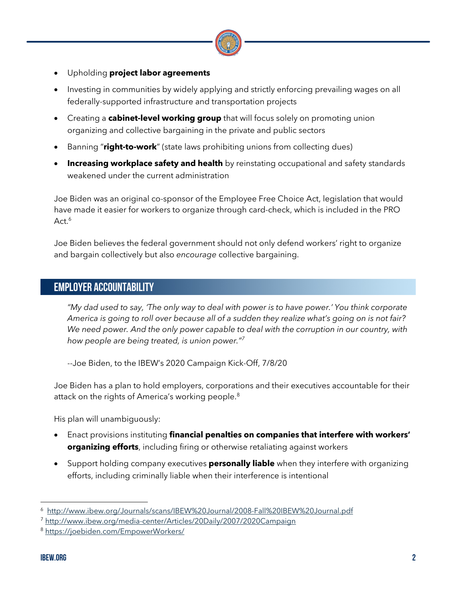

- Upholding **project labor agreements**
- Investing in communities by widely applying and strictly enforcing prevailing wages on all federally-supported infrastructure and transportation projects
- Creating a **cabinet-level working group** that will focus solely on promoting union organizing and collective bargaining in the private and public sectors
- Banning "**right-to-work**" (state laws prohibiting unions from collecting dues)
- **Increasing workplace safety and health** by reinstating occupational and safety standards weakened under the current administration

Joe Biden was an original co-sponsor of the Employee Free Choice Act, legislation that would have made it easier for workers to organize through card-check, which is included in the PRO Act.<sup>6</sup>

Joe Biden believes the federal government should not only defend workers' right to organize and bargain collectively but also *encourage* collective bargaining.

#### EMPLOYER ACCOUNTABILITY

*"My dad used to say, 'The only way to deal with power is to have power.' You think corporate America is going to roll over because all of a sudden they realize what's going on is not fair? We need power. And the only power capable to deal with the corruption in our country, with how people are being treated, is union power."7*

--Joe Biden, to the IBEW's 2020 Campaign Kick-Off, 7/8/20

Joe Biden has a plan to hold employers, corporations and their executives accountable for their attack on the rights of America's working people.<sup>8</sup>

His plan will unambiguously:

- Enact provisions instituting **financial penalties on companies that interfere with workers' organizing efforts**, including firing or otherwise retaliating against workers
- Support holding company executives **personally liable** when they interfere with organizing efforts, including criminally liable when their interference is intentional

<sup>6</sup> http://www.ibew.org/Journals/scans/IBEW%20Journal/2008-Fall%20IBEW%20Journal.pdf

<sup>7</sup> http://www.ibew.org/media-center/Articles/20Daily/2007/2020Campaign

<sup>8</sup> https://joebiden.com/EmpowerWorkers/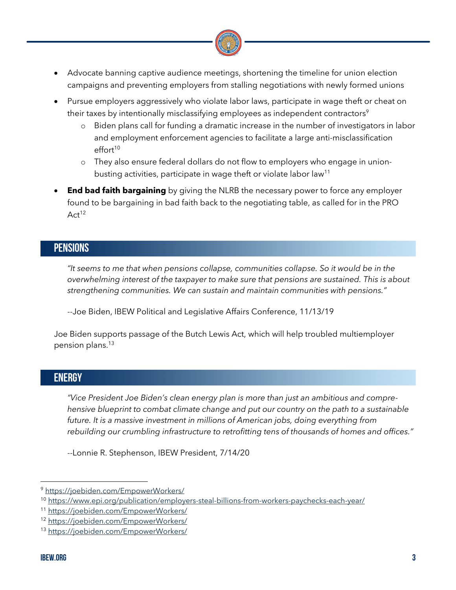

- Advocate banning captive audience meetings, shortening the timeline for union election campaigns and preventing employers from stalling negotiations with newly formed unions
- Pursue employers aggressively who violate labor laws, participate in wage theft or cheat on their taxes by intentionally misclassifying employees as independent contractors<sup>9</sup>
	- o Biden plans call for funding a dramatic increase in the number of investigators in labor and employment enforcement agencies to facilitate a large anti-misclassification  $effort<sup>10</sup>$
	- o They also ensure federal dollars do not flow to employers who engage in unionbusting activities, participate in wage theft or violate labor law<sup>11</sup>
- **End bad faith bargaining** by giving the NLRB the necessary power to force any employer found to be bargaining in bad faith back to the negotiating table, as called for in the PRO Act<sup>12</sup>

### **PENSIONS**

*"It seems to me that when pensions collapse, communities collapse. So it would be in the overwhelming interest of the taxpayer to make sure that pensions are sustained. This is about strengthening communities. We can sustain and maintain communities with pensions."* 

--Joe Biden, IBEW Political and Legislative Affairs Conference, 11/13/19

Joe Biden supports passage of the Butch Lewis Act, which will help troubled multiemployer pension plans.<sup>13</sup>

# ENERGY

*"Vice President Joe Biden's clean energy plan is more than just an ambitious and comprehensive blueprint to combat climate change and put our country on the path to a sustainable future. It is a massive investment in millions of American jobs, doing everything from rebuilding our crumbling infrastructure to retrofitting tens of thousands of homes and offices."*

--Lonnie R. Stephenson, IBEW President, 7/14/20

<sup>9</sup> https://joebiden.com/EmpowerWorkers/

<sup>10</sup> https://www.epi.org/publication/employers-steal-billions-from-workers-paychecks-each-year/

<sup>11</sup> https://joebiden.com/EmpowerWorkers/

<sup>12</sup> https://joebiden.com/EmpowerWorkers/

<sup>13</sup> https://joebiden.com/EmpowerWorkers/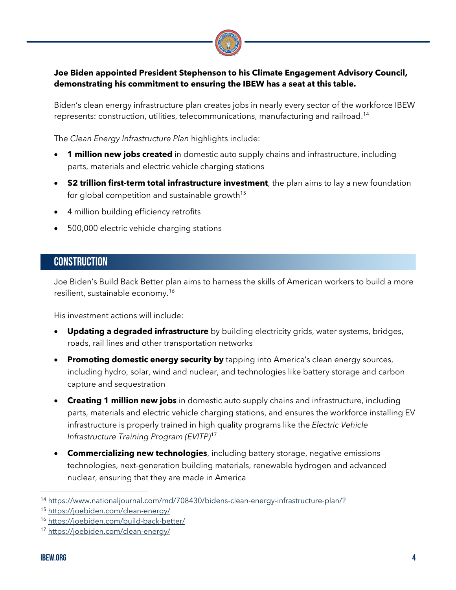

#### **Joe Biden appointed President Stephenson to his Climate Engagement Advisory Council, demonstrating his commitment to ensuring the IBEW has a seat at this table.**

Biden's clean energy infrastructure plan creates jobs in nearly every sector of the workforce IBEW represents: construction, utilities, telecommunications, manufacturing and railroad. 14

The *Clean Energy Infrastructure Plan* highlights include:

- **1 million new jobs created** in domestic auto supply chains and infrastructure, including parts, materials and electric vehicle charging stations
- **\$2 trillion first-term total infrastructure investment**, the plan aims to lay a new foundation for global competition and sustainable growth<sup>15</sup>
- 4 million building efficiency retrofits
- 500,000 electric vehicle charging stations

#### **CONSTRUCTION**

Joe Biden's Build Back Better plan aims to harness the skills of American workers to build a more resilient, sustainable economy. 16

His investment actions will include:

- **Updating a degraded infrastructure** by building electricity grids, water systems, bridges, roads, rail lines and other transportation networks
- **Promoting domestic energy security by** tapping into America's clean energy sources, including hydro, solar, wind and nuclear, and technologies like battery storage and carbon capture and sequestration
- **Creating 1 million new jobs** in domestic auto supply chains and infrastructure, including parts, materials and electric vehicle charging stations, and ensures the workforce installing EV infrastructure is properly trained in high quality programs like the *Electric Vehicle Infrastructure Training Program (EVITP)*<sup>17</sup>
- **Commercializing new technologies**, including battery storage, negative emissions technologies, next-generation building materials, renewable hydrogen and advanced nuclear, ensuring that they are made in America

<sup>14</sup> https://www.nationaljournal.com/md/708430/bidens-clean-energy-infrastructure-plan/?

<sup>15</sup> https://joebiden.com/clean-energy/

<sup>16</sup> https://joebiden.com/build-back-better/

<sup>17</sup> https://joebiden.com/clean-energy/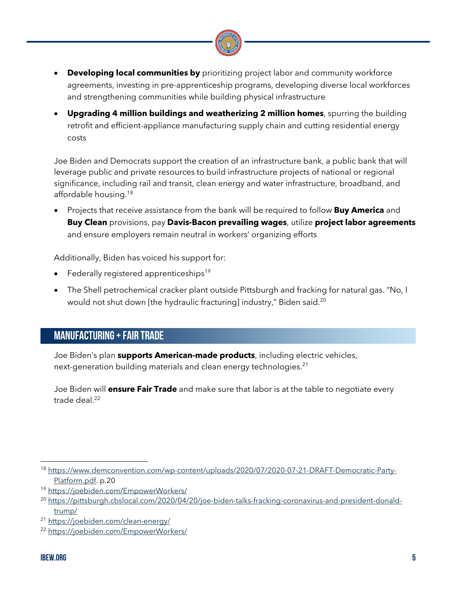

- **Developing local communities by** prioritizing project labor and community workforce agreements, investing in pre-apprenticeship programs, developing diverse local workforces and strengthening communities while building physical infrastructure
- **Upgrading 4 million buildings and weatherizing 2 million homes**, spurring the building retrofit and efficient-appliance manufacturing supply chain and cutting residential energy costs

Joe Biden and Democrats support the creation of an infrastructure bank, a public bank that will leverage public and private resources to build infrastructure projects of national or regional significance, including rail and transit, clean energy and water infrastructure, broadband, and affordable housing.18

• Projects that receive assistance from the bank will be required to follow **Buy America** and **Buy Clean** provisions, pay **Davis-Bacon prevailing wages**, utilize **project labor agreements** and ensure employers remain neutral in workers' organizing efforts

Additionally, Biden has voiced his support for:

- Federally registered apprenticeships<sup>19</sup>
- The Shell petrochemical cracker plant outside Pittsburgh and fracking for natural gas. "No, I would not shut down [the hydraulic fracturing] industry," Biden said.<sup>20</sup>

# MANUFACTURING+ FAIR TRADE

Joe Biden's plan **supports American-made products**, including electric vehicles, next-generation building materials and clean energy technologies. 21

Joe Biden will **ensure Fair Trade** and make sure that labor is at the table to negotiate every trade deal.<sup>22</sup>

<sup>&</sup>lt;sup>18</sup> https://www.demconvention.com/wp-content/uploads/2020/07/2020-07-21-DRAFT-Democratic-Party-Platform.pdf. p.20

<sup>19</sup> https://joebiden.com/EmpowerWorkers/

<sup>20</sup> https://pittsburgh.cbslocal.com/2020/04/20/joe-biden-talks-fracking-coronavirus-and-president-donaldtrump/

<sup>21</sup> https://joebiden.com/clean-energy/

<sup>22</sup> https://joebiden.com/EmpowerWorkers/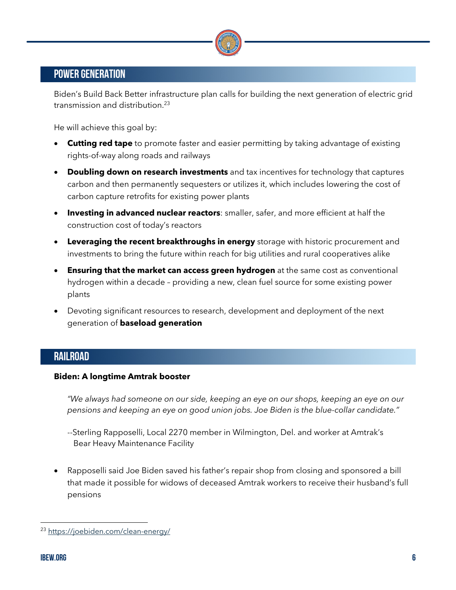

# POWER GENERATION

Biden's Build Back Better infrastructure plan calls for building the next generation of electric grid transmission and distribution.23

He will achieve this goal by:

- **Cutting red tape** to promote faster and easier permitting by taking advantage of existing rights-of-way along roads and railways
- **Doubling down on research investments** and tax incentives for technology that captures carbon and then permanently sequesters or utilizes it, which includes lowering the cost of carbon capture retrofits for existing power plants
- **Investing in advanced nuclear reactors**: smaller, safer, and more efficient at half the construction cost of today's reactors
- **Leveraging the recent breakthroughs in energy** storage with historic procurement and investments to bring the future within reach for big utilities and rural cooperatives alike
- **Ensuring that the market can access green hydrogen** at the same cost as conventional hydrogen within a decade – providing a new, clean fuel source for some existing power plants
- Devoting significant resources to research, development and deployment of the next generation of **baseload generation**

#### RAILROAD

#### **Biden: A longtime Amtrak booster**

*"We always had someone on our side, keeping an eye on our shops, keeping an eye on our pensions and keeping an eye on good union jobs. Joe Biden is the blue-collar candidate."* 

- --Sterling Rapposelli, Local 2270 member in Wilmington, Del. and worker at Amtrak's Bear Heavy Maintenance Facility
- Rapposelli said Joe Biden saved his father's repair shop from closing and sponsored a bill that made it possible for widows of deceased Amtrak workers to receive their husband's full pensions

<sup>23</sup> https://joebiden.com/clean-energy/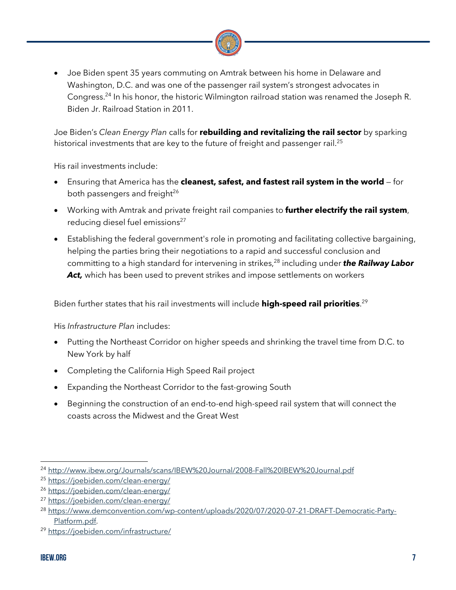

• Joe Biden spent 35 years commuting on Amtrak between his home in Delaware and Washington, D.C. and was one of the passenger rail system's strongest advocates in Congress.24 In his honor, the historic Wilmington railroad station was renamed the Joseph R. Biden Jr. Railroad Station in 2011.

Joe Biden's *Clean Energy Plan* calls for **rebuilding and revitalizing the rail sector** by sparking historical investments that are key to the future of freight and passenger rail. 25

His rail investments include:

- Ensuring that America has the **cleanest, safest, and fastest rail system in the world** for both passengers and freight<sup>26</sup>
- Working with Amtrak and private freight rail companies to **further electrify the rail system**, reducing diesel fuel emissions<sup>27</sup>
- Establishing the federal government's role in promoting and facilitating collective bargaining, helping the parties bring their negotiations to a rapid and successful conclusion and committing to a high standard for intervening in strikes, <sup>28</sup> including under *the Railway Labor*  Act, which has been used to prevent strikes and impose settlements on workers

Biden further states that his rail investments will include **high-speed rail priorities**. 29

His *Infrastructure Plan* includes:

- Putting the Northeast Corridor on higher speeds and shrinking the travel time from D.C. to New York by half
- Completing the California High Speed Rail project
- Expanding the Northeast Corridor to the fast-growing South
- Beginning the construction of an end-to-end high-speed rail system that will connect the coasts across the Midwest and the Great West

<sup>24</sup> http://www.ibew.org/Journals/scans/IBEW%20Journal/2008-Fall%20IBEW%20Journal.pdf

<sup>25</sup> https://joebiden.com/clean-energy/

<sup>26</sup> https://joebiden.com/clean-energy/

<sup>27</sup> https://joebiden.com/clean-energy/

<sup>28</sup> https://www.demconvention.com/wp-content/uploads/2020/07/2020-07-21-DRAFT-Democratic-Party-Platform.pdf.

<sup>29</sup> https://joebiden.com/infrastructure/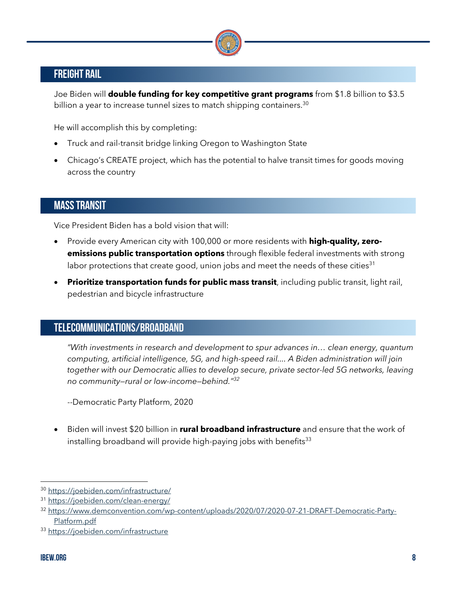

# FREIGHT RAIL

Joe Biden will **double funding for key competitive grant programs** from \$1.8 billion to \$3.5 billion a year to increase tunnel sizes to match shipping containers.<sup>30</sup>

He will accomplish this by completing:

- Truck and rail-transit bridge linking Oregon to Washington State
- Chicago's CREATE project, which has the potential to halve transit times for goods moving across the country

# MASS TRANSIT

Vice President Biden has a bold vision that will:

- Provide every American city with 100,000 or more residents with **high-quality, zeroemissions public transportation options** through flexible federal investments with strong labor protections that create good, union jobs and meet the needs of these cities<sup>31</sup>
- **Prioritize transportation funds for public mass transit**, including public transit, light rail, pedestrian and bicycle infrastructure

# TELECOMMUNICATIONS/BROADBAND

*"With investments in research and development to spur advances in… clean energy, quantum computing, artificial intelligence, 5G, and high-speed rail.... A Biden administration will join together with our Democratic allies to develop secure, private sector-led 5G networks, leaving no community—rural or low-income—behind."32*

- --Democratic Party Platform, 2020
- Biden will invest \$20 billion in **rural broadband infrastructure** and ensure that the work of installing broadband will provide high-paying jobs with benefits<sup>33</sup>

<sup>30</sup> https://joebiden.com/infrastructure/

<sup>31</sup> https://joebiden.com/clean-energy/

<sup>32</sup> https://www.demconvention.com/wp-content/uploads/2020/07/2020-07-21-DRAFT-Democratic-Party-Platform.pdf

<sup>33</sup> https://joebiden.com/infrastructure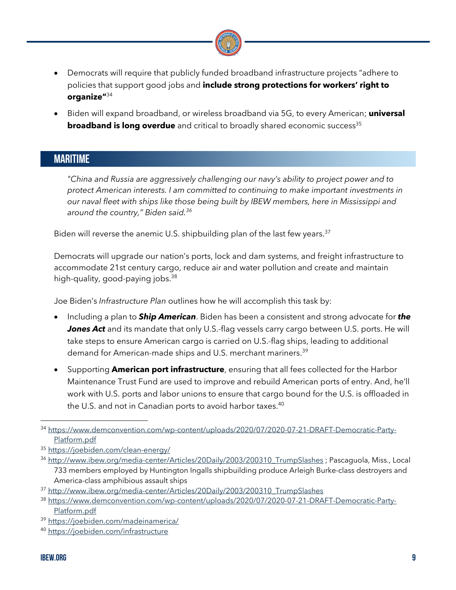

- Democrats will require that publicly funded broadband infrastructure projects "adhere to policies that support good jobs and **include strong protections for workers' right to organize"**<sup>34</sup>
- Biden will expand broadband, or wireless broadband via 5G, to every American; **universal broadband is long overdue** and critical to broadly shared economic success<sup>35</sup>

### MARITIME

*"China and Russia are aggressively challenging our navy's ability to project power and to protect American interests. I am committed to continuing to make important investments in our naval fleet with ships like those being built by IBEW members, here in Mississippi and around the country," Biden said.36*

Biden will reverse the anemic U.S. shipbuilding plan of the last few years.<sup>37</sup>

Democrats will upgrade our nation's ports, lock and dam systems, and freight infrastructure to accommodate 21st century cargo, reduce air and water pollution and create and maintain high-quality, good-paying jobs. 38

Joe Biden's *Infrastructure Plan* outlines how he will accomplish this task by:

- Including a plan to *Ship American*. Biden has been a consistent and strong advocate for *the*  **Jones Act** and its mandate that only U.S.-flag vessels carry cargo between U.S. ports. He will take steps to ensure American cargo is carried on U.S.-flag ships, leading to additional demand for American-made ships and U.S. merchant mariners. 39
- Supporting **American port infrastructure**, ensuring that all fees collected for the Harbor Maintenance Trust Fund are used to improve and rebuild American ports of entry. And, he'll work with U.S. ports and labor unions to ensure that cargo bound for the U.S. is offloaded in the U.S. and not in Canadian ports to avoid harbor taxes. 40

<sup>34</sup> https://www.demconvention.com/wp-content/uploads/2020/07/2020-07-21-DRAFT-Democratic-Party-Platform.pdf

<sup>35</sup> https://joebiden.com/clean-energy/

<sup>36</sup> http://www.ibew.org/media-center/Articles/20Daily/2003/200310 TrumpSlashes ; Pascaguola, Miss., Local 733 members employed by Huntington Ingalls shipbuilding produce Arleigh Burke-class destroyers and America-class amphibious assault ships

<sup>37</sup> http://www.ibew.org/media-center/Articles/20Daily/2003/200310\_TrumpSlashes

<sup>38</sup> https://www.demconvention.com/wp-content/uploads/2020/07/2020-07-21-DRAFT-Democratic-Party-Platform.pdf

<sup>39</sup> https://joebiden.com/madeinamerica/

<sup>40</sup> https://joebiden.com/infrastructure